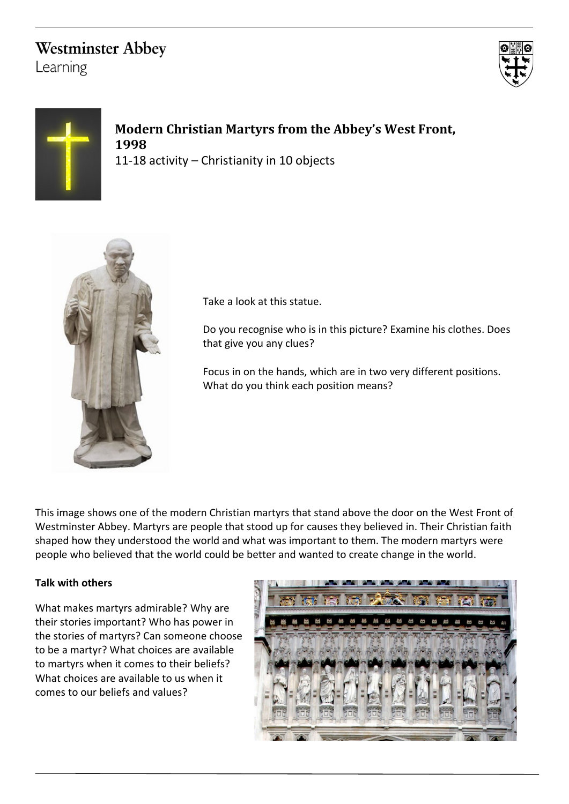## **Westminster Abbey**

Learning





**Modern Christian Martyrs from the Abbey's West Front, 1998** 11-18 activity – Christianity in 10 objects



Take a look at this statue.

Do you recognise who is in this picture? Examine his clothes. Does that give you any clues?

Focus in on the hands, which are in two very different positions. What do you think each position means?

This image shows one of the modern Christian martyrs that stand above the door on the West Front of Westminster Abbey. Martyrs are people that stood up for causes they believed in. Their Christian faith shaped how they understood the world and what was important to them. The modern martyrs were people who believed that the world could be better and wanted to create change in the world.

## **Talk with others**

What makes martyrs admirable? Why are their stories important? Who has power in the stories of martyrs? Can someone choose to be a martyr? What choices are available to martyrs when it comes to their beliefs? What choices are available to us when it comes to our beliefs and values?